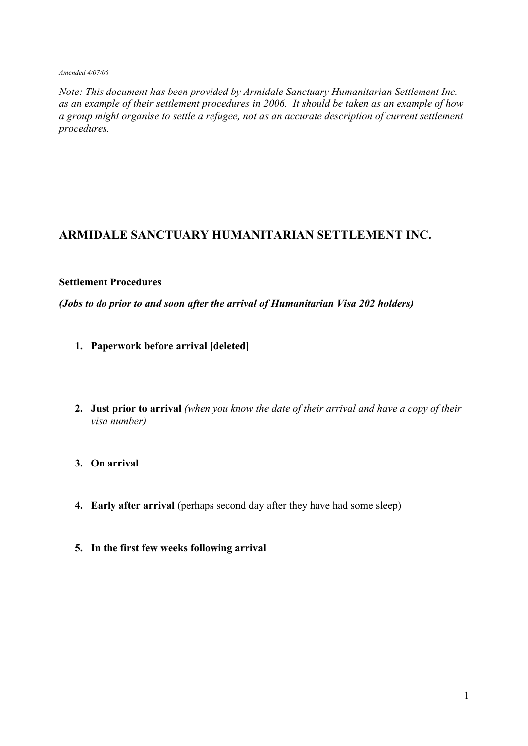#### *Amended 4/07/06*

*Note: This document has been provided by Armidale Sanctuary Humanitarian Settlement Inc. as an example of their settlement procedures in 2006. It should be taken as an example of how a group might organise to settle a refugee, not as an accurate description of current settlement procedures.*

# **ARMIDALE SANCTUARY HUMANITARIAN SETTLEMENT INC.**

### **Settlement Procedures**

*(Jobs to do prior to and soon after the arrival of Humanitarian Visa 202 holders)*

- **1. Paperwork before arrival [deleted]**
- **2. Just prior to arrival** *(when you know the date of their arrival and have a copy of their visa number)*
- **3. On arrival**
- **4. Early after arrival** (perhaps second day after they have had some sleep)
- **5. In the first few weeks following arrival**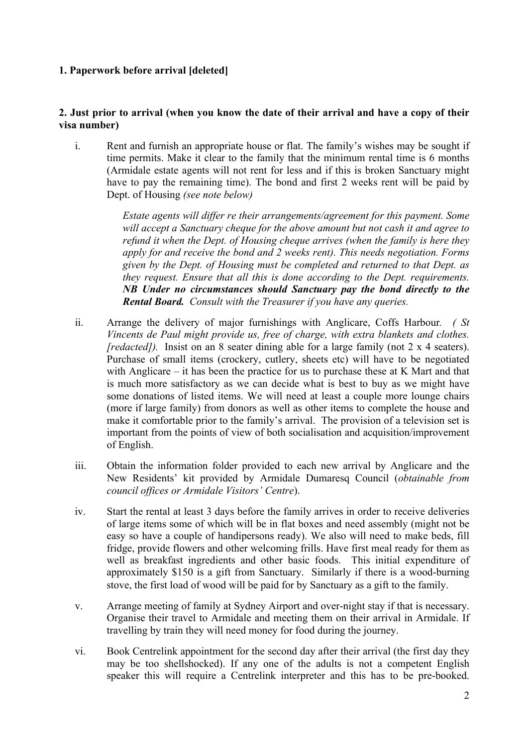# **1. Paperwork before arrival [deleted]**

# **2. Just prior to arrival (when you know the date of their arrival and have a copy of their visa number)**

i. Rent and furnish an appropriate house or flat. The family's wishes may be sought if time permits. Make it clear to the family that the minimum rental time is 6 months (Armidale estate agents will not rent for less and if this is broken Sanctuary might have to pay the remaining time). The bond and first 2 weeks rent will be paid by Dept. of Housing *(see note below)*

> *Estate agents will differ re their arrangements/agreement for this payment. Some will accept a Sanctuary cheque for the above amount but not cash it and agree to refund it when the Dept. of Housing cheque arrives (when the family is here they apply for and receive the bond and 2 weeks rent). This needs negotiation. Forms given by the Dept. of Housing must be completed and returned to that Dept. as they request. Ensure that all this is done according to the Dept. requirements. NB Under no circumstances should Sanctuary pay the bond directly to the Rental Board. Consult with the Treasurer if you have any queries.*

- ii. Arrange the delivery of major furnishings with Anglicare, Coffs Harbour*. ( St Vincents de Paul might provide us, free of charge, with extra blankets and clothes. [redacted]*). Insist on an 8 seater dining able for a large family (not 2 x 4 seaters). Purchase of small items (crockery, cutlery, sheets etc) will have to be negotiated with Anglicare – it has been the practice for us to purchase these at K Mart and that is much more satisfactory as we can decide what is best to buy as we might have some donations of listed items. We will need at least a couple more lounge chairs (more if large family) from donors as well as other items to complete the house and make it comfortable prior to the family's arrival. The provision of a television set is important from the points of view of both socialisation and acquisition/improvement of English.
- iii. Obtain the information folder provided to each new arrival by Anglicare and the New Residents' kit provided by Armidale Dumaresq Council (*obtainable from council offices or Armidale Visitors' Centre*).
- iv. Start the rental at least 3 days before the family arrives in order to receive deliveries of large items some of which will be in flat boxes and need assembly (might not be easy so have a couple of handipersons ready). We also will need to make beds, fill fridge, provide flowers and other welcoming frills. Have first meal ready for them as well as breakfast ingredients and other basic foods. This initial expenditure of approximately \$150 is a gift from Sanctuary. Similarly if there is a wood-burning stove, the first load of wood will be paid for by Sanctuary as a gift to the family.
- v. Arrange meeting of family at Sydney Airport and over-night stay if that is necessary. Organise their travel to Armidale and meeting them on their arrival in Armidale. If travelling by train they will need money for food during the journey.
- vi. Book Centrelink appointment for the second day after their arrival (the first day they may be too shellshocked). If any one of the adults is not a competent English speaker this will require a Centrelink interpreter and this has to be pre-booked.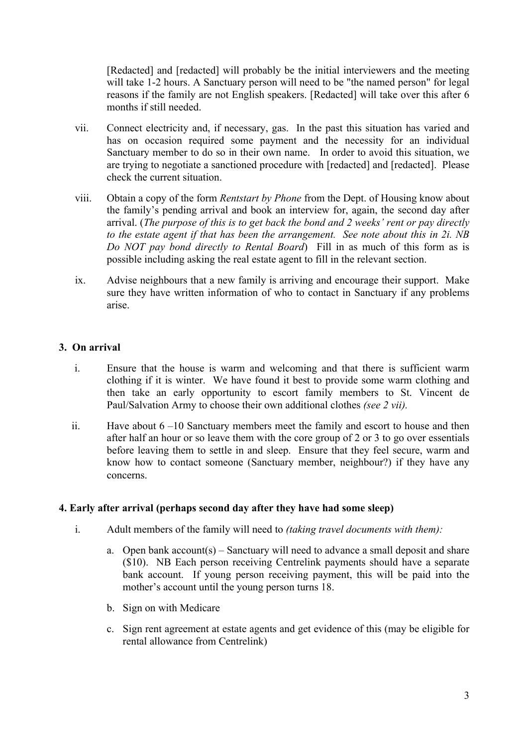[Redacted] and [redacted] will probably be the initial interviewers and the meeting will take 1-2 hours. A Sanctuary person will need to be "the named person" for legal reasons if the family are not English speakers. [Redacted] will take over this after 6 months if still needed.

- vii. Connect electricity and, if necessary, gas. In the past this situation has varied and has on occasion required some payment and the necessity for an individual Sanctuary member to do so in their own name. In order to avoid this situation, we are trying to negotiate a sanctioned procedure with [redacted] and [redacted]. Please check the current situation.
- viii. Obtain a copy of the form *Rentstart by Phone* from the Dept. of Housing know about the family's pending arrival and book an interview for, again, the second day after arrival. (*The purpose of this is to get back the bond and 2 weeks' rent or pay directly to the estate agent if that has been the arrangement. See note about this in 2i. NB Do NOT pay bond directly to Rental Board*) Fill in as much of this form as is possible including asking the real estate agent to fill in the relevant section.
- ix. Advise neighbours that a new family is arriving and encourage their support. Make sure they have written information of who to contact in Sanctuary if any problems arise.

# **3. On arrival**

- i. Ensure that the house is warm and welcoming and that there is sufficient warm clothing if it is winter. We have found it best to provide some warm clothing and then take an early opportunity to escort family members to St. Vincent de Paul/Salvation Army to choose their own additional clothes *(see 2 vii).*
- ii. Have about 6 –10 Sanctuary members meet the family and escort to house and then after half an hour or so leave them with the core group of 2 or 3 to go over essentials before leaving them to settle in and sleep. Ensure that they feel secure, warm and know how to contact someone (Sanctuary member, neighbour?) if they have any concerns.

# **4. Early after arrival (perhaps second day after they have had some sleep)**

- i. Adult members of the family will need to *(taking travel documents with them):*
	- a. Open bank  $account(s) Sanctuary will need to advance a small deposit and share$ (\$10). NB Each person receiving Centrelink payments should have a separate bank account. If young person receiving payment, this will be paid into the mother's account until the young person turns 18.
	- b. Sign on with Medicare
	- c. Sign rent agreement at estate agents and get evidence of this (may be eligible for rental allowance from Centrelink)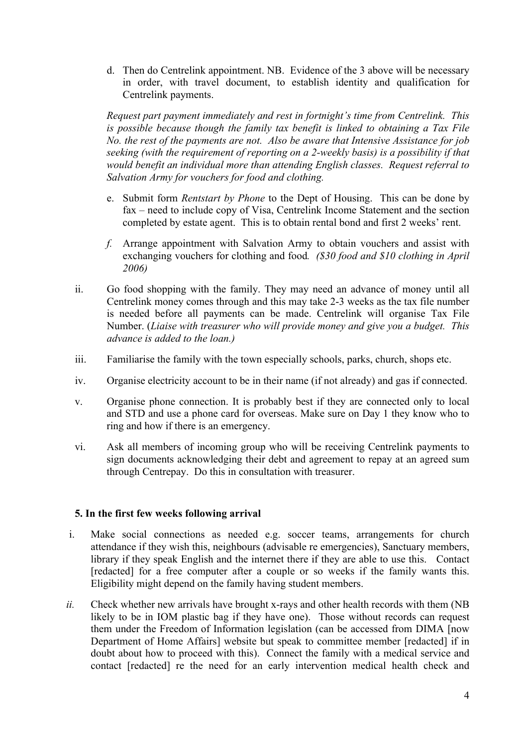d. Then do Centrelink appointment. NB. Evidence of the 3 above will be necessary in order, with travel document, to establish identity and qualification for Centrelink payments.

*Request part payment immediately and rest in fortnight's time from Centrelink. This is possible because though the family tax benefit is linked to obtaining a Tax File No. the rest of the payments are not. Also be aware that Intensive Assistance for job seeking (with the requirement of reporting on a 2-weekly basis) is a possibility if that would benefit an individual more than attending English classes. Request referral to Salvation Army for vouchers for food and clothing.*

- e. Submit form *Rentstart by Phone* to the Dept of Housing. This can be done by fax – need to include copy of Visa, Centrelink Income Statement and the section completed by estate agent. This is to obtain rental bond and first 2 weeks' rent.
- *f.* Arrange appointment with Salvation Army to obtain vouchers and assist with exchanging vouchers for clothing and food*. (\$30 food and \$10 clothing in April 2006)*
- ii. Go food shopping with the family. They may need an advance of money until all Centrelink money comes through and this may take 2-3 weeks as the tax file number is needed before all payments can be made. Centrelink will organise Tax File Number. (*Liaise with treasurer who will provide money and give you a budget. This advance is added to the loan.)*
- iii. Familiarise the family with the town especially schools, parks, church, shops etc.
- iv. Organise electricity account to be in their name (if not already) and gas if connected.
- v. Organise phone connection. It is probably best if they are connected only to local and STD and use a phone card for overseas. Make sure on Day 1 they know who to ring and how if there is an emergency.
- vi. Ask all members of incoming group who will be receiving Centrelink payments to sign documents acknowledging their debt and agreement to repay at an agreed sum through Centrepay. Do this in consultation with treasurer.

# **5. In the first few weeks following arrival**

- i. Make social connections as needed e.g. soccer teams, arrangements for church attendance if they wish this, neighbours (advisable re emergencies), Sanctuary members, library if they speak English and the internet there if they are able to use this. Contact [redacted] for a free computer after a couple or so weeks if the family wants this. Eligibility might depend on the family having student members.
- *ii.* Check whether new arrivals have brought x-rays and other health records with them (NB likely to be in IOM plastic bag if they have one). Those without records can request them under the Freedom of Information legislation (can be accessed from DIMA [now Department of Home Affairs] website but speak to committee member [redacted] if in doubt about how to proceed with this). Connect the family with a medical service and contact [redacted] re the need for an early intervention medical health check and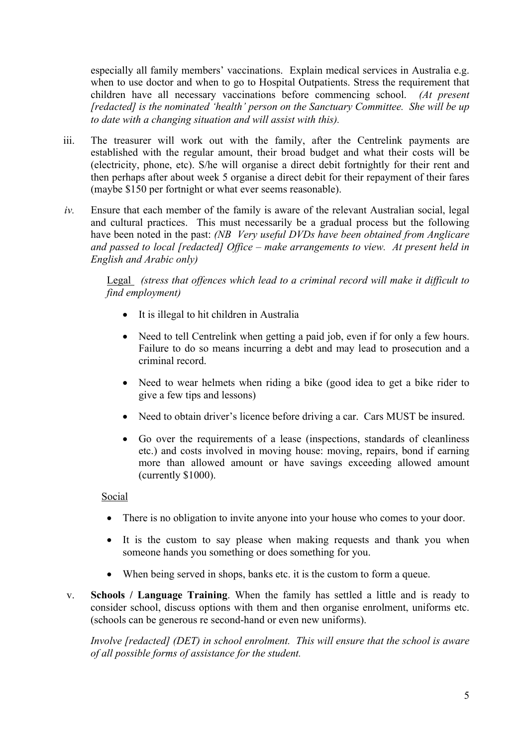especially all family members' vaccinations. Explain medical services in Australia e.g. when to use doctor and when to go to Hospital Outpatients. Stress the requirement that children have all necessary vaccinations before commencing school. *(At present [redacted] is the nominated 'health' person on the Sanctuary Committee. She will be up to date with a changing situation and will assist with this).*

- iii. The treasurer will work out with the family, after the Centrelink payments are established with the regular amount, their broad budget and what their costs will be (electricity, phone, etc). S/he will organise a direct debit fortnightly for their rent and then perhaps after about week 5 organise a direct debit for their repayment of their fares (maybe \$150 per fortnight or what ever seems reasonable).
- *iv.* Ensure that each member of the family is aware of the relevant Australian social, legal and cultural practices. This must necessarily be a gradual process but the following have been noted in the past: *(NB Very useful DVDs have been obtained from Anglicare and passed to local [redacted] Office – make arrangements to view. At present held in English and Arabic only)*

Legal *(stress that offences which lead to a criminal record will make it difficult to find employment)*

- It is illegal to hit children in Australia
- Need to tell Centrelink when getting a paid job, even if for only a few hours. Failure to do so means incurring a debt and may lead to prosecution and a criminal record.
- Need to wear helmets when riding a bike (good idea to get a bike rider to give a few tips and lessons)
- Need to obtain driver's licence before driving a car. Cars MUST be insured.
- Go over the requirements of a lease (inspections, standards of cleanliness etc.) and costs involved in moving house: moving, repairs, bond if earning more than allowed amount or have savings exceeding allowed amount (currently \$1000).

Social

- There is no obligation to invite anyone into your house who comes to your door.
- It is the custom to say please when making requests and thank you when someone hands you something or does something for you.
- When being served in shops, banks etc. it is the custom to form a queue.
- v. **Schools / Language Training**. When the family has settled a little and is ready to consider school, discuss options with them and then organise enrolment, uniforms etc. (schools can be generous re second-hand or even new uniforms).

*Involve [redacted] (DET) in school enrolment. This will ensure that the school is aware of all possible forms of assistance for the student.*